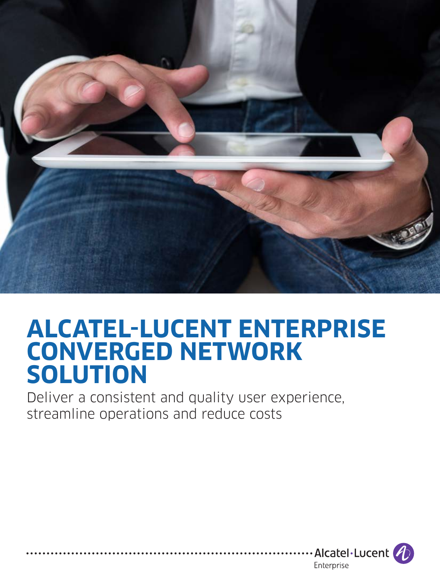

# **ALCATEL-LUCENT ENTERPRISE CONVERGED NETWORK SOLUTION**

Deliver a consistent and quality user experience, streamline operations and reduce costs

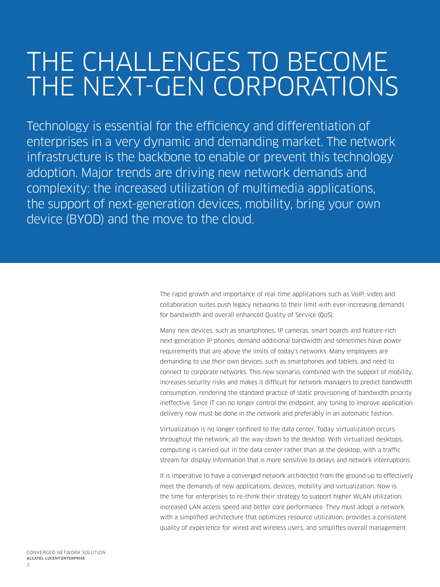# THE CHALLENGES TO BECOME THE NEXT-GEN CORPORATIONS

Technology is essential for the efficiency and differentiation of enterprises in a very dynamic and demanding market. The network infrastructure is the backbone to enable or prevent this technology adoption. Major trends are driving new network demands and complexity: the increased utilization of multimedia applications, the support of next-generation devices, mobility, bring your own device (BYOD) and the move to the cloud.

> The rapid growth and importance of real-time applications such as VoIP, video and collaboration suites push legacy networks to their limit with ever-increasing demands for bandwidth and overall enhanced Quality of Service (QoS).

Many new devices, such as smartphones, IP cameras, smart boards and feature-rich next-generation IP phones, demand additional bandwidth and sometimes have power requirements that are above the limits of today's networks. Many employees are demanding to use their own devices, such as smartphones and tablets, and need to connect to corporate networks. This new scenario, combined with the support of mobility, increases security risks and makes it difficult for network managers to predict bandwidth consumption, rendering the standard practice of static provisioning of bandwidth priority ineffective. Since IT can no longer control the endpoint, any tuning to improve application delivery now must be done in the network and preferably in an automatic fashion.

Virtualization is no longer confined to the data center. Today virtualization occurs throughout the network, all the way down to the desktop. With virtualized desktops, computing is carried out in the data center rather than at the desktop, with a traffic stream for display information that is more sensitive to delays and network interruptions.

It is imperative to have a converged network architected from the ground up to effectively meet the demands of new applications, devices, mobility and virtualization. Now is the time for enterprises to re-think their strategy to support higher WLAN utilization, increased LAN access speed and better core performance. They must adopt a network with a simplified architecture that optimizes resource utilization, provides a consistent quality of experience for wired and wireless users, and simplifies overall management.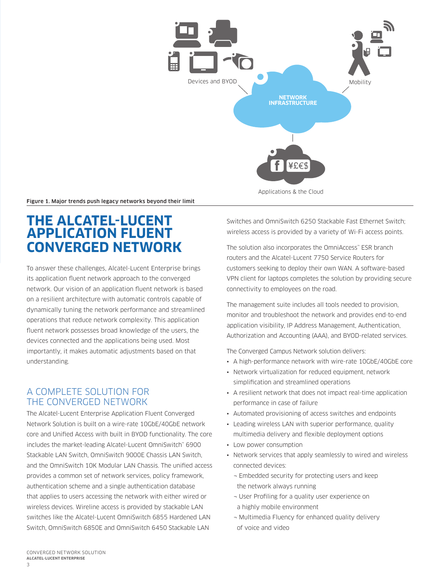

Figure 1. Major trends push legacy networks beyond their limit

# **THE ALCATEL-LUCENT APPLICATION FLUENT CONVERGED NETWORK**

To answer these challenges, Alcatel-Lucent Enterprise brings its application fluent network approach to the converged network. Our vision of an application fluent network is based on a resilient architecture with automatic controls capable of dynamically tuning the network performance and streamlined operations that reduce network complexity. This application fluent network possesses broad knowledge of the users, the devices connected and the applications being used. Most importantly, it makes automatic adjustments based on that understanding.

## A COMPLETE SOLUTION FOR THE CONVERGED NETWORK

The Alcatel-Lucent Enterprise Application Fluent Converged Network Solution is built on a wire-rate 10GbE/40GbE network core and Unified Access with built in BYOD functionality. The core includes the market-leading Alcatel-Lucent OmniSwitch™ 6900 Stackable LAN Switch, OmniSwitch 9000E Chassis LAN Switch, and the OmniSwitch 10K Modular LAN Chassis. The unified access provides a common set of network services, policy framework, authentication scheme and a single authentication database that applies to users accessing the network with either wired or wireless devices. Wireline access is provided by stackable LAN switches like the Alcatel-Lucent OmniSwitch 6855 Hardened LAN Switch, OmniSwitch 6850E and OmniSwitch 6450 Stackable LAN

Switches and OmniSwitch 6250 Stackable Fast Ethernet Switch; wireless access is provided by a variety of Wi-Fi access points.

The solution also incorporates the OmniAccess™ ESR branch routers and the Alcatel-Lucent 7750 Service Routers for customers seeking to deploy their own WAN. A software-based VPN client for laptops completes the solution by providing secure connectivity to employees on the road.

The management suite includes all tools needed to provision, monitor and troubleshoot the network and provides end-to-end application visibility, IP Address Management, Authentication, Authorization and Accounting (AAA), and BYOD-related services.

The Converged Campus Network solution delivers:

- A high-performance network with wire-rate 10GbE/40GbE core
- Network virtualization for reduced equipment, network simplification and streamlined operations
- A resilient network that does not impact real-time application performance in case of failure
- Automated provisioning of access switches and endpoints
- Leading wireless LAN with superior performance, quality multimedia delivery and flexible deployment options
- Low power consumption
- Network services that apply seamlessly to wired and wireless connected devices:
	- ¬ Embedded security for protecting users and keep the network always running
	- ¬ User Profiling for a quality user experience on a highly mobile environment
	- ¬ Multimedia Fluency for enhanced quality delivery of voice and video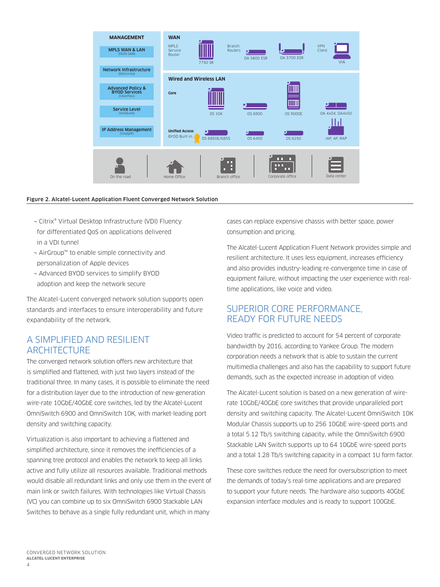

#### Figure 2. Alcatel-Lucent Application Fluent Converged Network Solution

- ¬ Citrix® Virtual Desktop Infrastructure (VDI) Fluency for differentiated QoS on applications delivered in a VDI tunnel
- ¬ AirGroup™ to enable simple connectivity and personalization of Apple devices
- ¬ Advanced BYOD services to simplify BYOD adoption and keep the network secure

The Alcatel-Lucent converged network solution supports open standards and interfaces to ensure interoperability and future expandability of the network.

## A SIMPLIFIED AND RESILIENT ARCHITECTURE

The converged network solution offers new architecture that is simplified and flattened, with just two layers instead of the traditional three. In many cases, it is possible to eliminate the need for a distribution layer due to the introduction of new-generation wire-rate 10GbE/40GbE core switches, led by the Alcatel-Lucent OmniSwitch 6900 and OmniSwitch 10K, with market-leading port density and switching capacity.

Virtualization is also important to achieving a flattened and simplified architecture, since it removes the inefficiencies of a spanning tree protocol and enables the network to keep all links active and fully utilize all resources available. Traditional methods would disable all redundant links and only use them in the event of main link or switch failures. With technologies like Virtual Chassis (VC) you can combine up to six OmniSwitch 6900 Stackable LAN Switches to behave as a single fully redundant unit, which in many

cases can replace expensive chassis with better space, power consumption and pricing.

The Alcatel-Lucent Application Fluent Network provides simple and resilient architecture. It uses less equipment, increases efficiency and also provides industry-leading re-convergence time in case of equipment failure, without impacting the user experience with realtime applications, like voice and video.

## SUPERIOR CORE PERFORMANCE, READY FOR FUTURE NEEDS

Video traffic is predicted to account for 54 percent of corporate bandwidth by 2016, according to Yankee Group. The modern corporation needs a network that is able to sustain the current multimedia challenges and also has the capability to support future demands, such as the expected increase in adoption of video.

The Alcatel-Lucent solution is based on a new generation of wirerate 10GbE/40GbE core switches that provide unparalleled port density and switching capacity. The Alcatel-Lucent OmniSwitch 10K Modular Chassis supports up to 256 10GbE wire-speed ports and a total 5.12 Tb/s switching capacity, while the OmniSwitch 6900 Stackable LAN Switch supports up to 64 10GbE wire-speed ports and a total 1.28 Tb/s switching capacity in a compact 1U form factor.

These core switches reduce the need for oversubscription to meet the demands of today's real-time applications and are prepared to support your future needs. The hardware also supports 40GbE expansion interface modules and is ready to support 100GbE.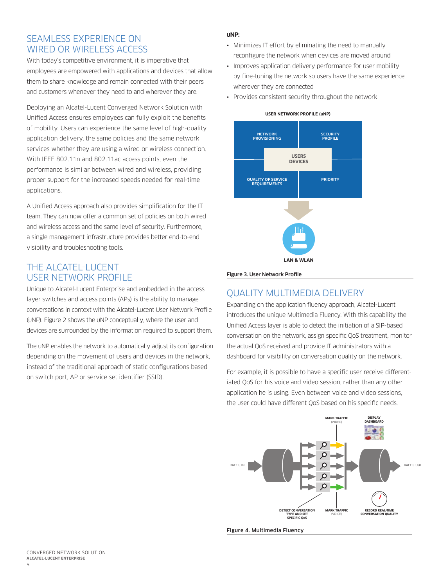## SEAMLESS EXPERIENCE ON WIRED OR WIRELESS ACCESS

With today's competitive environment, it is imperative that employees are empowered with applications and devices that allow them to share knowledge and remain connected with their peers and customers whenever they need to and wherever they are.

Deploying an Alcatel-Lucent Converged Network Solution with Unified Access ensures employees can fully exploit the benefits of mobility. Users can experience the same level of high-quality application delivery, the same policies and the same network services whether they are using a wired or wireless connection. With IEEE 802.11n and 802.11ac access points, even the performance is similar between wired and wireless, providing proper support for the increased speeds needed for real-time applications.

A Unified Access approach also provides simplification for the IT team. They can now offer a common set of policies on both wired and wireless access and the same level of security. Furthermore, a single management infrastructure provides better end-to-end visibility and troubleshooting tools.

## THE ALCATEL-LUCENT USER NETWORK PROFILE

Unique to Alcatel-Lucent Enterprise and embedded in the access layer switches and access points (APs) is the ability to manage conversations in context with the Alcatel-Lucent User Network Profile (uNP). Figure 2 shows the uNP conceptually, where the user and devices are surrounded by the information required to support them.

The uNP enables the network to automatically adjust its configuration depending on the movement of users and devices in the network, instead of the traditional approach of static configurations based on switch port, AP or service set identifier (SSID).

#### **uNP:**

- Minimizes IT effort by eliminating the need to manually reconfigure the network when devices are moved around
- Improves application delivery performance for user mobility by fine-tuning the network so users have the same experience wherever they are connected
- Provides consistent security throughout the network





Figure 3. User Network Profile

## QUALITY MULTIMEDIA DELIVERY

Expanding on the application fluency approach, Alcatel-Lucent introduces the unique Multimedia Fluency. With this capability the Unified Access layer is able to detect the initiation of a SIP-based conversation on the network, assign specific QoS treatment, monitor the actual QoS received and provide IT administrators with a dashboard for visibility on conversation quality on the network.

For example, it is possible to have a specific user receive differentiated QoS for his voice and video session, rather than any other application he is using. Even between voice and video sessions, the user could have different QoS based on his specific needs.

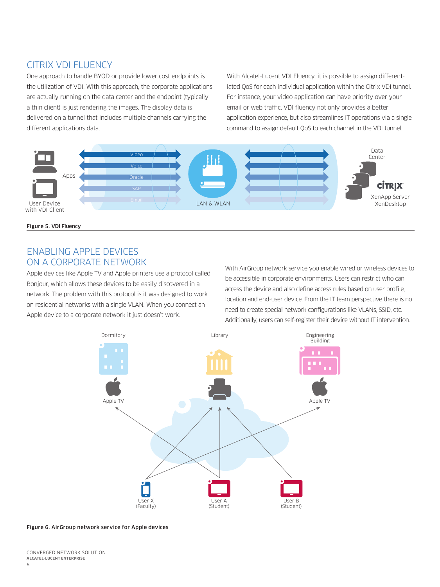## CITRIX VDI FLUENCY

One approach to handle BYOD or provide lower cost endpoints is the utilization of VDI. With this approach, the corporate applications are actually running on the data center and the endpoint (typically a thin client) is just rendering the images. The display data is delivered on a tunnel that includes multiple channels carrying the different applications data.

With Alcatel-Lucent VDI Fluency, it is possible to assign differentiated QoS for each individual application within the Citrix VDI tunnel. For instance, your video application can have priority over your email or web traffic. VDI fluency not only provides a better application experience, but also streamlines IT operations via a single command to assign default QoS to each channel in the VDI tunnel.



Figure 5. VDI Fluency

## ENABLING APPLE DEVICES ON A CORPORATE NETWORK

Apple devices like Apple TV and Apple printers use a protocol called Bonjour, which allows these devices to be easily discovered in a network. The problem with this protocol is it was designed to work on residential networks with a single VLAN. When you connect an Apple device to a corporate network it just doesn't work.

With AirGroup network service you enable wired or wireless devices to be accessible in corporate environments. Users can restrict who can access the device and also define access rules based on user profile, location and end-user device. From the IT team perspective there is no need to create special network configurations like VLANs, SSID, etc. Additionally, users can self-register their device without IT intervention.



#### Figure 6. AirGroup network service for Apple devices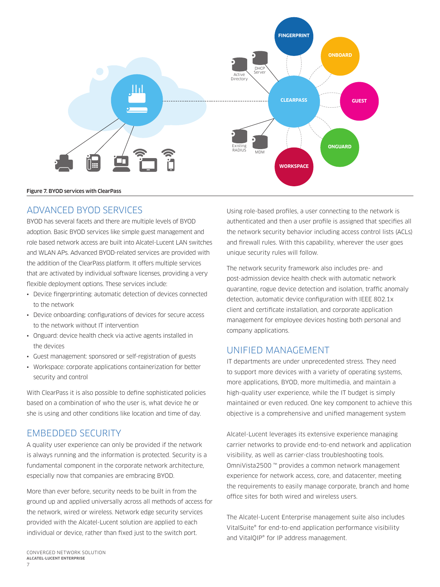

#### Figure 7. BYOD services with ClearPass

## ADVANCED BYOD SERVICES

BYOD has several facets and there are multiple levels of BYOD adoption. Basic BYOD services like simple guest management and role based network access are built into Alcatel-Lucent LAN switches and WLAN APs. Advanced BYOD-related services are provided with the addition of the ClearPass platform. It offers multiple services that are activated by individual software licenses, providing a very flexible deployment options. These services include:

- Device fingerprinting: automatic detection of devices connected to the network
- Device onboarding: configurations of devices for secure access to the network without IT intervention
- Onguard: device health check via active agents installed in the devices
- Guest management: sponsored or self-registration of guests
- Workspace: corporate applications containerization for better security and control

With ClearPass it is also possible to define sophisticated policies based on a combination of who the user is, what device he or she is using and other conditions like location and time of day.

## EMBEDDED SECURITY

A quality user experience can only be provided if the network is always running and the information is protected. Security is a fundamental component in the corporate network architecture, especially now that companies are embracing BYOD.

More than ever before, security needs to be built in from the ground up and applied universally across all methods of access for the network, wired or wireless. Network edge security services provided with the Alcatel-Lucent solution are applied to each individual or device, rather than fixed just to the switch port.

Using role-based profiles, a user connecting to the network is authenticated and then a user profile is assigned that specifies all the network security behavior including access control lists (ACLs) and firewall rules. With this capability, wherever the user goes unique security rules will follow.

The network security framework also includes pre- and post-admission device health check with automatic network quarantine, rogue device detection and isolation, traffic anomaly detection, automatic device configuration with IEEE 802.1x client and certificate installation, and corporate application management for employee devices hosting both personal and company applications.

### UNIFIED MANAGEMENT

IT departments are under unprecedented stress. They need to support more devices with a variety of operating systems, more applications, BYOD, more multimedia, and maintain a high-quality user experience, while the IT budget is simply maintained or even reduced. One key component to achieve this objective is a comprehensive and unified management system

Alcatel-Lucent leverages its extensive experience managing carrier networks to provide end-to-end network and application visibility, as well as carrier-class troubleshooting tools. OmniVista2500 ™ provides a common network management experience for network access, core, and datacenter, meeting the requirements to easily manage corporate, branch and home office sites for both wired and wireless users.

The Alcatel-Lucent Enterprise management suite also includes VitalSuite® for end-to-end application performance visibility and VitalQIP® for IP address management.